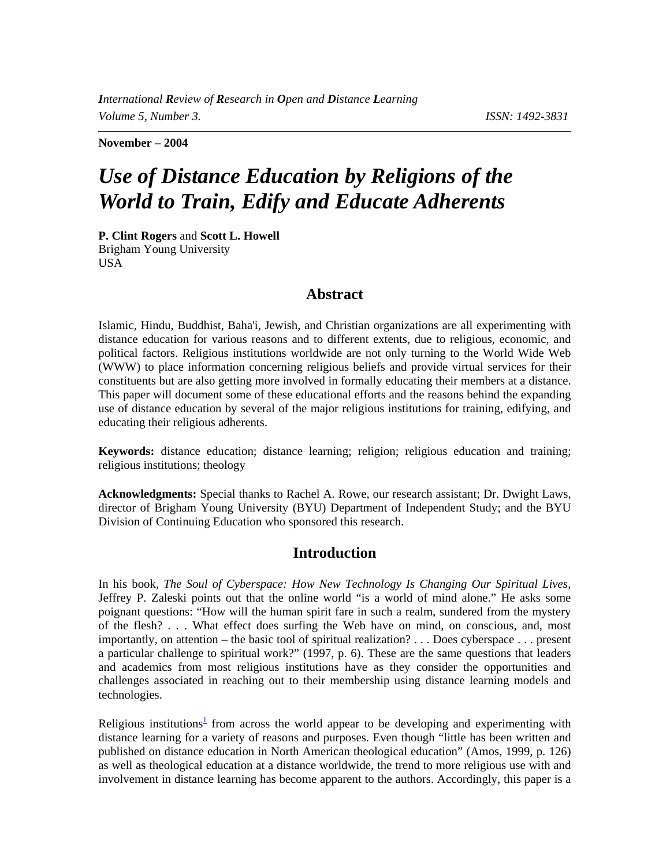**November – 2004** 

# *Use of Distance Education by Religions of the World to Train, Edify and Educate Adherents*

**P. Clint Rogers** and **Scott L. Howell** Brigham Young University USA

# **Abstract**

Islamic, Hindu, Buddhist, Baha'i, Jewish, and Christian organizations are all experimenting with distance education for various reasons and to different extents, due to religious, economic, and political factors. Religious institutions worldwide are not only turning to the World Wide Web (WWW) to place information concerning religious beliefs and provide virtual services for their constituents but are also getting more involved in formally educating their members at a distance. This paper will document some of these educational efforts and the reasons behind the expanding use of distance education by several of the major religious institutions for training, edifying, and educating their religious adherents.

**Keywords:** distance education; distance learning; religion; religious education and training; religious institutions; theology

**Acknowledgments:** Special thanks to Rachel A. Rowe, our research assistant; Dr. Dwight Laws, director of Brigham Young University (BYU) Department of Independent Study; and the BYU Division of Continuing Education who sponsored this research.

## **Introduction**

In his book, *The Soul of Cyberspace: How New Technology Is Changing Our Spiritual Lives*, Jeffrey P. Zaleski points out that the online world "is a world of mind alone." He asks some poignant questions: "How will the human spirit fare in such a realm, sundered from the mystery of the flesh? . . . What effect does surfing the Web have on mind, on conscious, and, most importantly, on attention – the basic tool of spiritual realization? . . . Does cyberspace . . . present a particular challenge to spiritual work?" (1997, p. 6). These are the same questions that leaders and academics from most religious institutions have as they consider the opportunities and challenges associated in reaching out to their membership using distance learning models and technologies.

Religious institutions<sup>[1](http://www.irrodl.org/index.php/irrodl/article/viewArticle/207/290#1)</sup> from across the world appear to be developing and experimenting with distance learning for a variety of reasons and purposes. Even though "little has been written and published on distance education in North American theological education" (Amos, 1999, p. 126) as well as theological education at a distance worldwide, the trend to more religious use with and involvement in distance learning has become apparent to the authors. Accordingly, this paper is a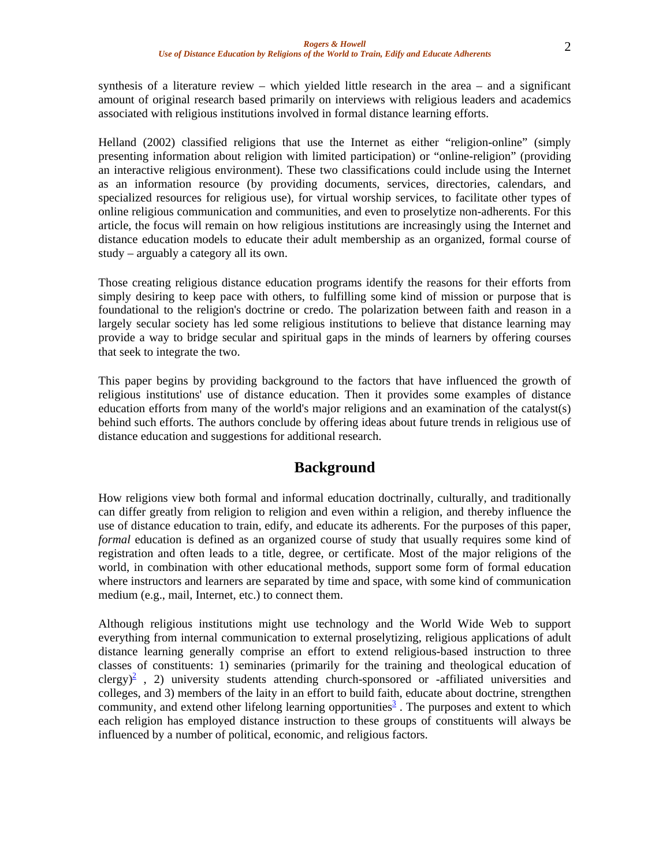synthesis of a literature review – which yielded little research in the area – and a significant amount of original research based primarily on interviews with religious leaders and academics associated with religious institutions involved in formal distance learning efforts.

Helland (2002) classified religions that use the Internet as either "religion-online" (simply presenting information about religion with limited participation) or "online-religion" (providing an interactive religious environment). These two classifications could include using the Internet as an information resource (by providing documents, services, directories, calendars, and specialized resources for religious use), for virtual worship services, to facilitate other types of online religious communication and communities, and even to proselytize non-adherents. For this article, the focus will remain on how religious institutions are increasingly using the Internet and distance education models to educate their adult membership as an organized, formal course of study – arguably a category all its own.

Those creating religious distance education programs identify the reasons for their efforts from simply desiring to keep pace with others, to fulfilling some kind of mission or purpose that is foundational to the religion's doctrine or credo. The polarization between faith and reason in a largely secular society has led some religious institutions to believe that distance learning may provide a way to bridge secular and spiritual gaps in the minds of learners by offering courses that seek to integrate the two.

This paper begins by providing background to the factors that have influenced the growth of religious institutions' use of distance education. Then it provides some examples of distance education efforts from many of the world's major religions and an examination of the catalyst(s) behind such efforts. The authors conclude by offering ideas about future trends in religious use of distance education and suggestions for additional research.

## **Background**

How religions view both formal and informal education doctrinally, culturally, and traditionally can differ greatly from religion to religion and even within a religion, and thereby influence the use of distance education to train, edify, and educate its adherents. For the purposes of this paper, *formal* education is defined as an organized course of study that usually requires some kind of registration and often leads to a title, degree, or certificate. Most of the major religions of the world, in combination with other educational methods, support some form of formal education where instructors and learners are separated by time and space, with some kind of communication medium (e.g., mail, Internet, etc.) to connect them.

Although religious institutions might use technology and the World Wide Web to support everything from internal communication to external proselytizing, religious applications of adult distance learning generally comprise an effort to extend religious-based instruction to three classes of constituents: 1) seminaries (primarily for the training and theological education of clergy)<sup>2</sup>, 2) university students attending church-sponsored or -affiliated universities and colleges, and 3) members of the laity in an effort to build faith, educate about doctrine, strengthen community, and extend other lifelong learning opportunities<sup>[3](http://www.irrodl.org/index.php/irrodl/article/viewArticle/207/290#3)</sup>. The purposes and extent to which each religion has employed distance instruction to these groups of constituents will always be influenced by a number of political, economic, and religious factors.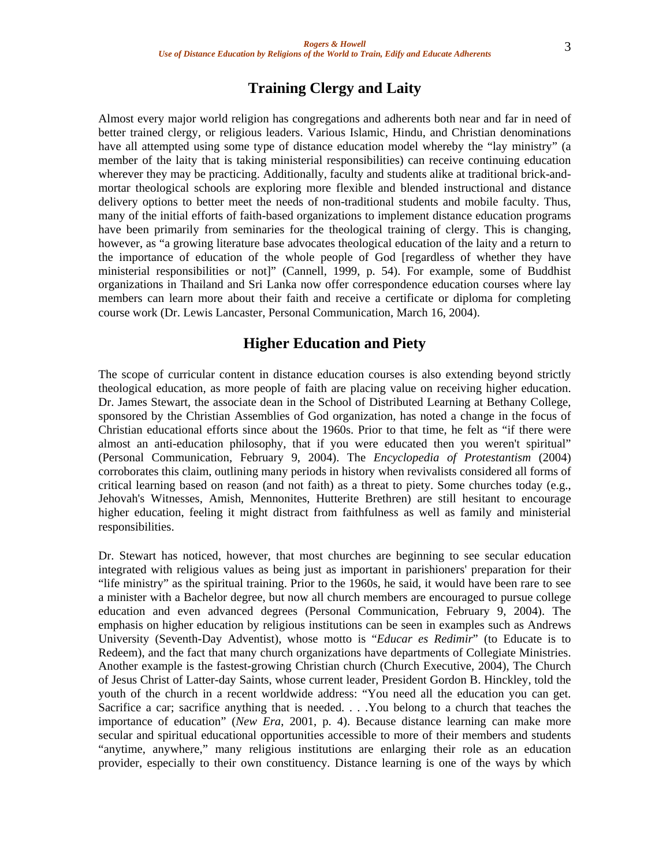# **Training Clergy and Laity**

Almost every major world religion has congregations and adherents both near and far in need of better trained clergy, or religious leaders. Various Islamic, Hindu, and Christian denominations have all attempted using some type of distance education model whereby the "lay ministry" (a member of the laity that is taking ministerial responsibilities) can receive continuing education wherever they may be practicing. Additionally, faculty and students alike at traditional brick-andmortar theological schools are exploring more flexible and blended instructional and distance delivery options to better meet the needs of non-traditional students and mobile faculty. Thus, many of the initial efforts of faith-based organizations to implement distance education programs have been primarily from seminaries for the theological training of clergy. This is changing, however, as "a growing literature base advocates theological education of the laity and a return to the importance of education of the whole people of God [regardless of whether they have ministerial responsibilities or not]" (Cannell, 1999, p. 54). For example, some of Buddhist organizations in Thailand and Sri Lanka now offer correspondence education courses where lay members can learn more about their faith and receive a certificate or diploma for completing course work (Dr. Lewis Lancaster, Personal Communication, March 16, 2004).

#### **Higher Education and Piety**

The scope of curricular content in distance education courses is also extending beyond strictly theological education, as more people of faith are placing value on receiving higher education. Dr. James Stewart, the associate dean in the School of Distributed Learning at Bethany College, sponsored by the Christian Assemblies of God organization, has noted a change in the focus of Christian educational efforts since about the 1960s. Prior to that time, he felt as "if there were almost an anti-education philosophy, that if you were educated then you weren't spiritual" (Personal Communication, February 9, 2004). The *Encyclopedia of Protestantism* (2004) corroborates this claim, outlining many periods in history when revivalists considered all forms of critical learning based on reason (and not faith) as a threat to piety. Some churches today (e.g., Jehovah's Witnesses, Amish, Mennonites, Hutterite Brethren) are still hesitant to encourage higher education, feeling it might distract from faithfulness as well as family and ministerial responsibilities.

Dr. Stewart has noticed, however, that most churches are beginning to see secular education integrated with religious values as being just as important in parishioners' preparation for their "life ministry" as the spiritual training. Prior to the 1960s, he said, it would have been rare to see a minister with a Bachelor degree, but now all church members are encouraged to pursue college education and even advanced degrees (Personal Communication, February 9, 2004). The emphasis on higher education by religious institutions can be seen in examples such as Andrews University (Seventh-Day Adventist), whose motto is "*Educar es Redimir*" (to Educate is to Redeem), and the fact that many church organizations have departments of Collegiate Ministries. Another example is the fastest-growing Christian church (Church Executive, 2004), The Church of Jesus Christ of Latter-day Saints, whose current leader, President Gordon B. Hinckley, told the youth of the church in a recent worldwide address: "You need all the education you can get. Sacrifice a car; sacrifice anything that is needed. . . .You belong to a church that teaches the importance of education" (*New Era*, 2001, p. 4). Because distance learning can make more secular and spiritual educational opportunities accessible to more of their members and students "anytime, anywhere," many religious institutions are enlarging their role as an education provider, especially to their own constituency. Distance learning is one of the ways by which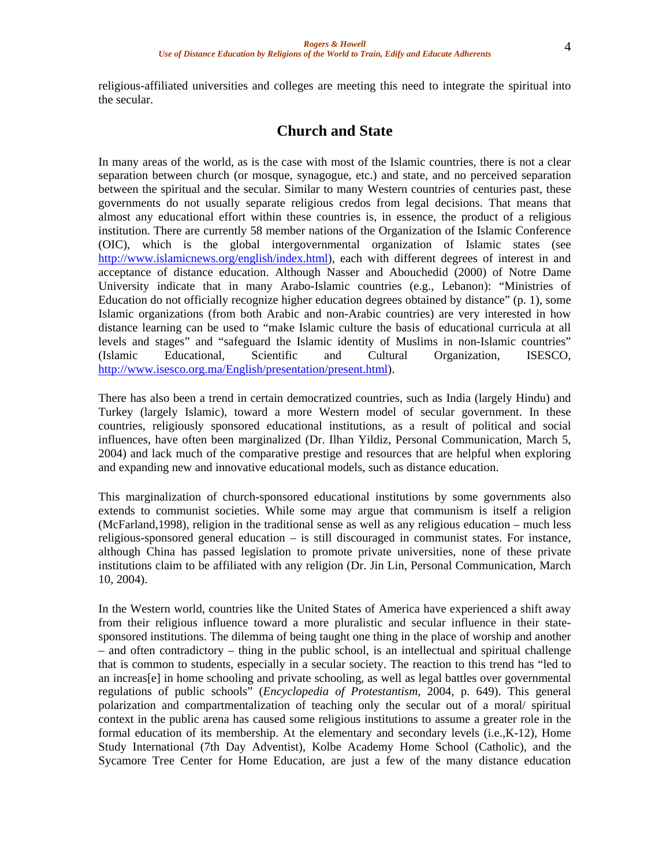religious-affiliated universities and colleges are meeting this need to integrate the spiritual into the secular.

## **Church and State**

In many areas of the world, as is the case with most of the Islamic countries, there is not a clear separation between church (or mosque, synagogue, etc.) and state, and no perceived separation between the spiritual and the secular. Similar to many Western countries of centuries past, these governments do not usually separate religious credos from legal decisions. That means that almost any educational effort within these countries is, in essence, the product of a religious institution. There are currently 58 member nations of the Organization of the Islamic Conference (OIC), which is the global intergovernmental organization of Islamic states (see [http://www.islamicnews.org/english/index.html\)](http://www.islamicnews.org/english/index.html), each with different degrees of interest in and acceptance of distance education. Although Nasser and Abouchedid (2000) of Notre Dame University indicate that in many Arabo-Islamic countries (e.g., Lebanon): "Ministries of Education do not officially recognize higher education degrees obtained by distance" (p. 1), some Islamic organizations (from both Arabic and non-Arabic countries) are very interested in how distance learning can be used to "make Islamic culture the basis of educational curricula at all levels and stages" and "safeguard the Islamic identity of Muslims in non-Islamic countries" (Islamic Educational, Scientific and Cultural Organization, ISESCO, [http://www.isesco.org.ma/English/presentation/present.html\)](http://www.isesco.org.ma/English/presentation/present.html).

There has also been a trend in certain democratized countries, such as India (largely Hindu) and Turkey (largely Islamic), toward a more Western model of secular government. In these countries, religiously sponsored educational institutions, as a result of political and social influences, have often been marginalized (Dr. Ilhan Yildiz, Personal Communication, March 5, 2004) and lack much of the comparative prestige and resources that are helpful when exploring and expanding new and innovative educational models, such as distance education.

This marginalization of church-sponsored educational institutions by some governments also extends to communist societies. While some may argue that communism is itself a religion (McFarland,1998), religion in the traditional sense as well as any religious education – much less religious-sponsored general education – is still discouraged in communist states. For instance, although China has passed legislation to promote private universities, none of these private institutions claim to be affiliated with any religion (Dr. Jin Lin, Personal Communication, March 10, 2004).

In the Western world, countries like the United States of America have experienced a shift away from their religious influence toward a more pluralistic and secular influence in their statesponsored institutions. The dilemma of being taught one thing in the place of worship and another – and often contradictory – thing in the public school, is an intellectual and spiritual challenge that is common to students, especially in a secular society. The reaction to this trend has "led to an increas[e] in home schooling and private schooling, as well as legal battles over governmental regulations of public schools" (*Encyclopedia of Protestantism*, 2004, p. 649). This general polarization and compartmentalization of teaching only the secular out of a moral/ spiritual context in the public arena has caused some religious institutions to assume a greater role in the formal education of its membership. At the elementary and secondary levels (i.e.,K-12), Home Study International (7th Day Adventist), Kolbe Academy Home School (Catholic), and the Sycamore Tree Center for Home Education, are just a few of the many distance education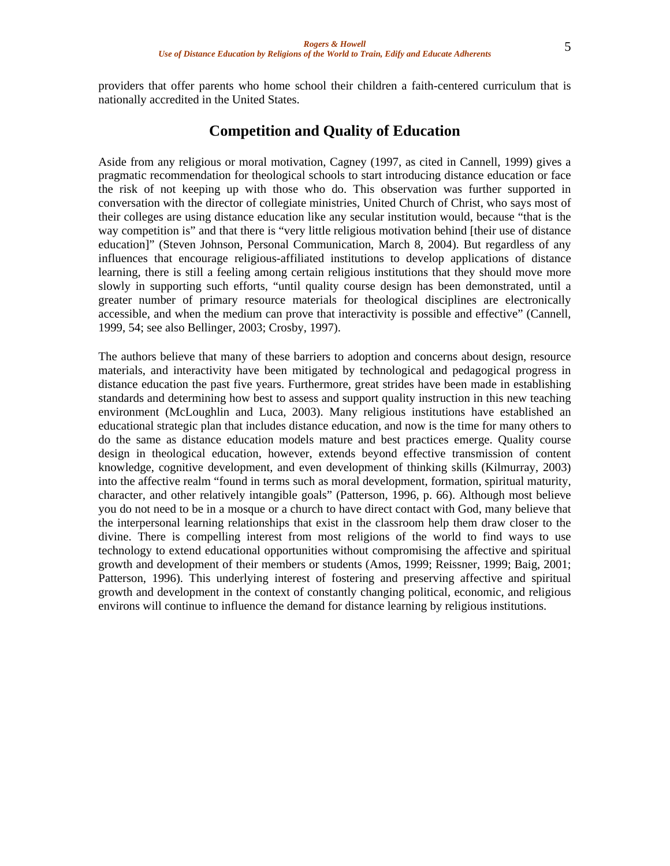providers that offer parents who home school their children a faith-centered curriculum that is nationally accredited in the United States.

#### **Competition and Quality of Education**

Aside from any religious or moral motivation, Cagney (1997, as cited in Cannell, 1999) gives a pragmatic recommendation for theological schools to start introducing distance education or face the risk of not keeping up with those who do. This observation was further supported in conversation with the director of collegiate ministries, United Church of Christ, who says most of their colleges are using distance education like any secular institution would, because "that is the way competition is" and that there is "very little religious motivation behind [their use of distance education]" (Steven Johnson, Personal Communication, March 8, 2004). But regardless of any influences that encourage religious-affiliated institutions to develop applications of distance learning, there is still a feeling among certain religious institutions that they should move more slowly in supporting such efforts, "until quality course design has been demonstrated, until a greater number of primary resource materials for theological disciplines are electronically accessible, and when the medium can prove that interactivity is possible and effective" (Cannell, 1999, 54; see also Bellinger, 2003; Crosby, 1997).

The authors believe that many of these barriers to adoption and concerns about design, resource materials, and interactivity have been mitigated by technological and pedagogical progress in distance education the past five years. Furthermore, great strides have been made in establishing standards and determining how best to assess and support quality instruction in this new teaching environment (McLoughlin and Luca, 2003). Many religious institutions have established an educational strategic plan that includes distance education, and now is the time for many others to do the same as distance education models mature and best practices emerge. Quality course design in theological education, however, extends beyond effective transmission of content knowledge, cognitive development, and even development of thinking skills (Kilmurray, 2003) into the affective realm "found in terms such as moral development, formation, spiritual maturity, character, and other relatively intangible goals" (Patterson, 1996, p. 66). Although most believe you do not need to be in a mosque or a church to have direct contact with God, many believe that the interpersonal learning relationships that exist in the classroom help them draw closer to the divine. There is compelling interest from most religions of the world to find ways to use technology to extend educational opportunities without compromising the affective and spiritual growth and development of their members or students (Amos, 1999; Reissner, 1999; Baig, 2001; Patterson, 1996). This underlying interest of fostering and preserving affective and spiritual growth and development in the context of constantly changing political, economic, and religious environs will continue to influence the demand for distance learning by religious institutions.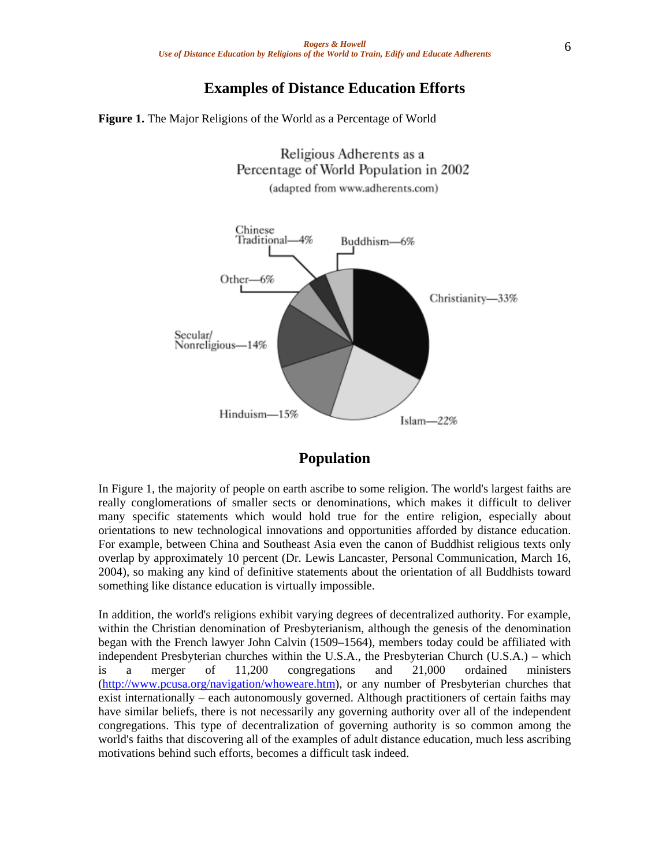# **Examples of Distance Education Efforts**

**Figure 1.** The Major Religions of the World as a Percentage of World



## **Population**

In Figure 1, the majority of people on earth ascribe to some religion. The world's largest faiths are really conglomerations of smaller sects or denominations, which makes it difficult to deliver many specific statements which would hold true for the entire religion, especially about orientations to new technological innovations and opportunities afforded by distance education. For example, between China and Southeast Asia even the canon of Buddhist religious texts only overlap by approximately 10 percent (Dr. Lewis Lancaster, Personal Communication, March 16, 2004), so making any kind of definitive statements about the orientation of all Buddhists toward something like distance education is virtually impossible.

In addition, the world's religions exhibit varying degrees of decentralized authority. For example, within the Christian denomination of Presbyterianism, although the genesis of the denomination began with the French lawyer John Calvin (1509–1564), members today could be affiliated with independent Presbyterian churches within the U.S.A., the Presbyterian Church (U.S.A.) – which is a merger of 11,200 congregations and 21,000 ordained ministers ([http://www.pcusa.org/navigation/whoweare.htm\)](http://www.pcusa.org/navigation/whoweare.htm), or any number of Presbyterian churches that exist internationally – each autonomously governed. Although practitioners of certain faiths may have similar beliefs, there is not necessarily any governing authority over all of the independent congregations. This type of decentralization of governing authority is so common among the world's faiths that discovering all of the examples of adult distance education, much less ascribing motivations behind such efforts, becomes a difficult task indeed.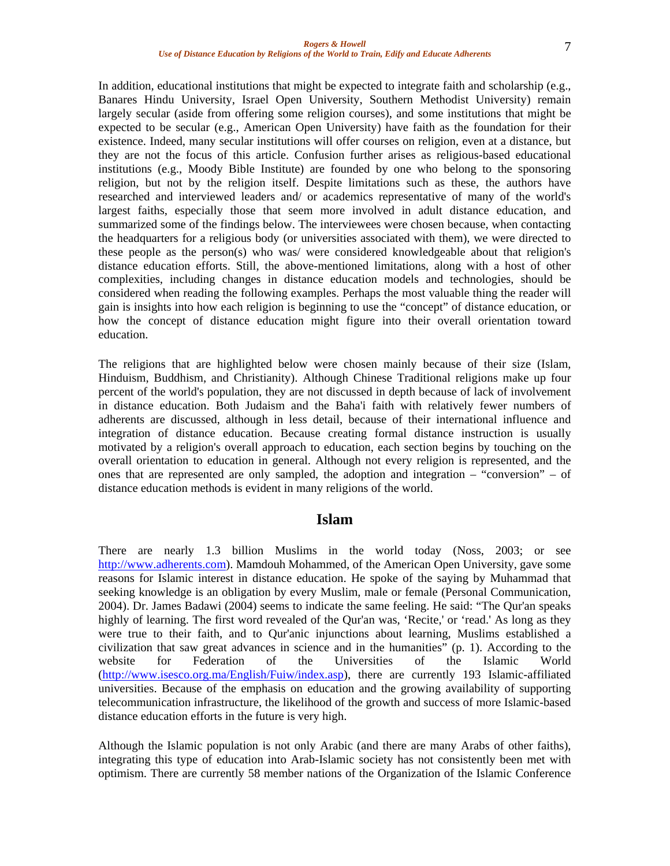In addition, educational institutions that might be expected to integrate faith and scholarship (e.g., Banares Hindu University, Israel Open University, Southern Methodist University) remain largely secular (aside from offering some religion courses), and some institutions that might be expected to be secular (e.g., American Open University) have faith as the foundation for their existence. Indeed, many secular institutions will offer courses on religion, even at a distance, but they are not the focus of this article. Confusion further arises as religious-based educational institutions (e.g., Moody Bible Institute) are founded by one who belong to the sponsoring religion, but not by the religion itself. Despite limitations such as these, the authors have researched and interviewed leaders and/ or academics representative of many of the world's largest faiths, especially those that seem more involved in adult distance education, and summarized some of the findings below. The interviewees were chosen because, when contacting the headquarters for a religious body (or universities associated with them), we were directed to these people as the person(s) who was/ were considered knowledgeable about that religion's distance education efforts. Still, the above-mentioned limitations, along with a host of other complexities, including changes in distance education models and technologies, should be considered when reading the following examples. Perhaps the most valuable thing the reader will gain is insights into how each religion is beginning to use the "concept" of distance education, or how the concept of distance education might figure into their overall orientation toward education.

The religions that are highlighted below were chosen mainly because of their size (Islam, Hinduism, Buddhism, and Christianity). Although Chinese Traditional religions make up four percent of the world's population, they are not discussed in depth because of lack of involvement in distance education. Both Judaism and the Baha'i faith with relatively fewer numbers of adherents are discussed, although in less detail, because of their international influence and integration of distance education. Because creating formal distance instruction is usually motivated by a religion's overall approach to education, each section begins by touching on the overall orientation to education in general. Although not every religion is represented, and the ones that are represented are only sampled, the adoption and integration – "conversion" – of distance education methods is evident in many religions of the world.

#### **Islam**

There are nearly 1.3 billion Muslims in the world today (Noss, 2003; or see [http://www.adherents.com\)](http://www.adherents.com/). Mamdouh Mohammed, of the American Open University, gave some reasons for Islamic interest in distance education. He spoke of the saying by Muhammad that seeking knowledge is an obligation by every Muslim, male or female (Personal Communication, 2004). Dr. James Badawi (2004) seems to indicate the same feeling. He said: "The Qur'an speaks highly of learning. The first word revealed of the Qur'an was, 'Recite,' or 'read.' As long as they were true to their faith, and to Qur'anic injunctions about learning, Muslims established a civilization that saw great advances in science and in the humanities" (p. 1). According to the website for Federation of the Universities of the Islamic World (<http://www.isesco.org.ma/English/Fuiw/index.asp>), there are currently 193 Islamic-affiliated universities. Because of the emphasis on education and the growing availability of supporting telecommunication infrastructure, the likelihood of the growth and success of more Islamic-based distance education efforts in the future is very high.

Although the Islamic population is not only Arabic (and there are many Arabs of other faiths), integrating this type of education into Arab-Islamic society has not consistently been met with optimism. There are currently 58 member nations of the Organization of the Islamic Conference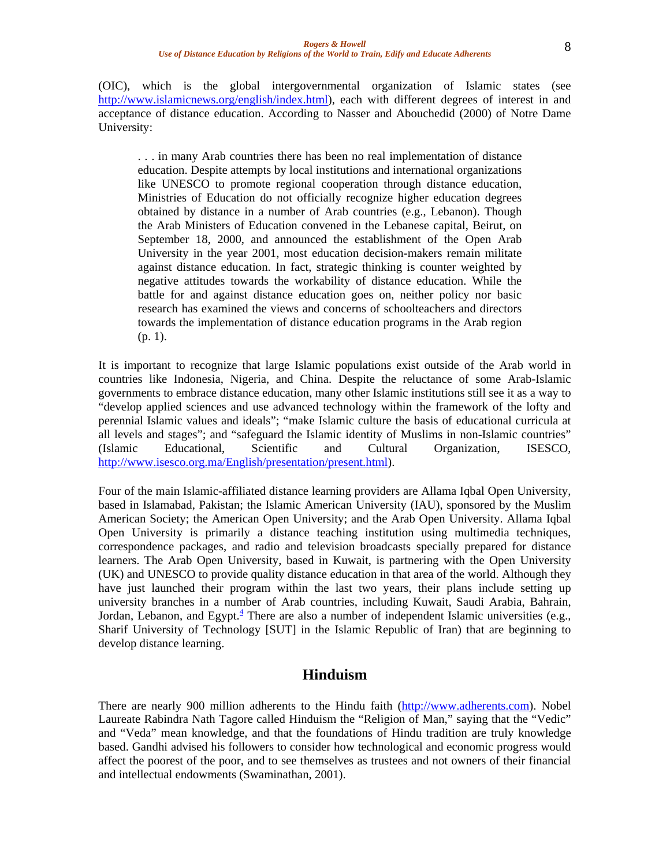University:

(OIC), which is the global intergovernmental organization of Islamic states (see [http://www.islamicnews.org/english/index.html\)](http://www.islamicnews.org/english/index.html), each with different degrees of interest in and acceptance of distance education. According to Nasser and Abouchedid (2000) of Notre Dame

. . . in many Arab countries there has been no real implementation of distance education. Despite attempts by local institutions and international organizations like UNESCO to promote regional cooperation through distance education, Ministries of Education do not officially recognize higher education degrees obtained by distance in a number of Arab countries (e.g., Lebanon). Though the Arab Ministers of Education convened in the Lebanese capital, Beirut, on September 18, 2000, and announced the establishment of the Open Arab University in the year 2001, most education decision-makers remain militate against distance education. In fact, strategic thinking is counter weighted by negative attitudes towards the workability of distance education. While the battle for and against distance education goes on, neither policy nor basic research has examined the views and concerns of schoolteachers and directors towards the implementation of distance education programs in the Arab region (p. 1).

It is important to recognize that large Islamic populations exist outside of the Arab world in countries like Indonesia, Nigeria, and China. Despite the reluctance of some Arab-Islamic governments to embrace distance education, many other Islamic institutions still see it as a way to "develop applied sciences and use advanced technology within the framework of the lofty and perennial Islamic values and ideals"; "make Islamic culture the basis of educational curricula at all levels and stages"; and "safeguard the Islamic identity of Muslims in non-Islamic countries" (Islamic Educational, Scientific and Cultural Organization, ISESCO, [http://www.isesco.org.ma/English/presentation/present.html\)](http://www.isesco.org.ma/English/presentation/present.html).

Four of the main Islamic-affiliated distance learning providers are Allama Iqbal Open University, based in Islamabad, Pakistan; the Islamic American University (IAU), sponsored by the Muslim American Society; the American Open University; and the Arab Open University. Allama Iqbal Open University is primarily a distance teaching institution using multimedia techniques, correspondence packages, and radio and television broadcasts specially prepared for distance learners. The Arab Open University, based in Kuwait, is partnering with the Open University (UK) and UNESCO to provide quality distance education in that area of the world. Although they have just launched their program within the last two years, their plans include setting up university branches in a number of Arab countries, including Kuwait, Saudi Arabia, Bahrain, Jordan, Lebanon, and Egypt. $^{4}$  There are also a number of independent Islamic universities (e.g., Sharif University of Technology [SUT] in the Islamic Republic of Iran) that are beginning to develop distance learning.

## **Hinduism**

There are nearly 900 million adherents to the Hindu faith [\(http://www.adherents.com\)](http://www.adherents.com/). Nobel Laureate Rabindra Nath Tagore called Hinduism the "Religion of Man," saying that the "Vedic" and "Veda" mean knowledge, and that the foundations of Hindu tradition are truly knowledge based. Gandhi advised his followers to consider how technological and economic progress would affect the poorest of the poor, and to see themselves as trustees and not owners of their financial and intellectual endowments (Swaminathan, 2001).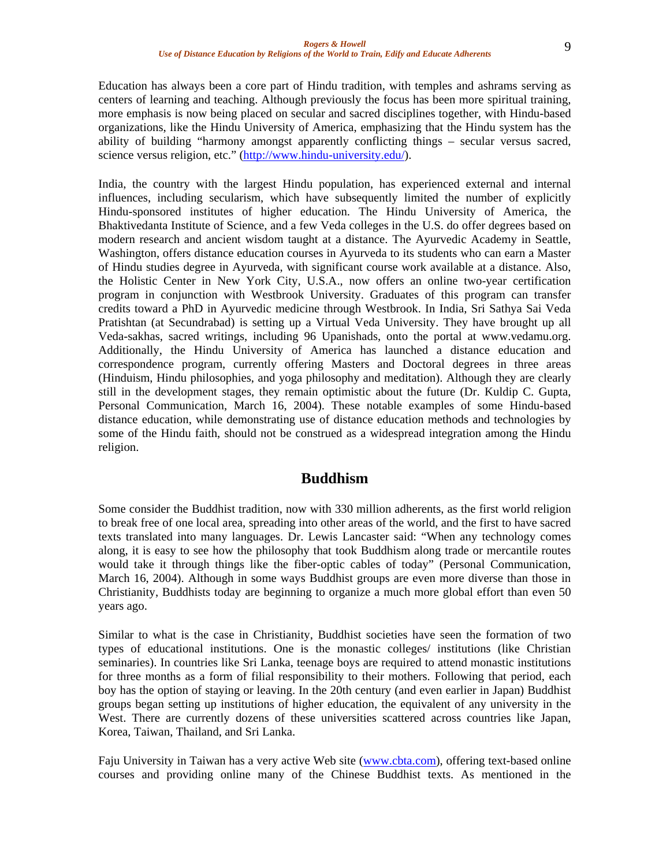Education has always been a core part of Hindu tradition, with temples and ashrams serving as centers of learning and teaching. Although previously the focus has been more spiritual training, more emphasis is now being placed on secular and sacred disciplines together, with Hindu-based organizations, like the Hindu University of America, emphasizing that the Hindu system has the ability of building "harmony amongst apparently conflicting things – secular versus sacred, science versus religion, etc." ([http://www.hindu-university.edu/\)](http://www.hindu-university.edu/).

India, the country with the largest Hindu population, has experienced external and internal influences, including secularism, which have subsequently limited the number of explicitly Hindu-sponsored institutes of higher education. The Hindu University of America, the Bhaktivedanta Institute of Science, and a few Veda colleges in the U.S. do offer degrees based on modern research and ancient wisdom taught at a distance. The Ayurvedic Academy in Seattle, Washington, offers distance education courses in Ayurveda to its students who can earn a Master of Hindu studies degree in Ayurveda, with significant course work available at a distance. Also, the Holistic Center in New York City, U.S.A., now offers an online two-year certification program in conjunction with Westbrook University. Graduates of this program can transfer credits toward a PhD in Ayurvedic medicine through Westbrook. In India, Sri Sathya Sai Veda Pratishtan (at Secundrabad) is setting up a Virtual Veda University. They have brought up all Veda-sakhas, sacred writings, including 96 Upanishads, onto the portal at www.vedamu.org. Additionally, the Hindu University of America has launched a distance education and correspondence program, currently offering Masters and Doctoral degrees in three areas (Hinduism, Hindu philosophies, and yoga philosophy and meditation). Although they are clearly still in the development stages, they remain optimistic about the future (Dr. Kuldip C. Gupta, Personal Communication, March 16, 2004). These notable examples of some Hindu-based distance education, while demonstrating use of distance education methods and technologies by some of the Hindu faith, should not be construed as a widespread integration among the Hindu religion.

#### **Buddhism**

Some consider the Buddhist tradition, now with 330 million adherents, as the first world religion to break free of one local area, spreading into other areas of the world, and the first to have sacred texts translated into many languages. Dr. Lewis Lancaster said: "When any technology comes along, it is easy to see how the philosophy that took Buddhism along trade or mercantile routes would take it through things like the fiber-optic cables of today" (Personal Communication, March 16, 2004). Although in some ways Buddhist groups are even more diverse than those in Christianity, Buddhists today are beginning to organize a much more global effort than even 50 years ago.

Similar to what is the case in Christianity, Buddhist societies have seen the formation of two types of educational institutions. One is the monastic colleges/ institutions (like Christian seminaries). In countries like Sri Lanka, teenage boys are required to attend monastic institutions for three months as a form of filial responsibility to their mothers. Following that period, each boy has the option of staying or leaving. In the 20th century (and even earlier in Japan) Buddhist groups began setting up institutions of higher education, the equivalent of any university in the West. There are currently dozens of these universities scattered across countries like Japan, Korea, Taiwan, Thailand, and Sri Lanka.

Faju University in Taiwan has a very active Web site [\(www.cbta.com\)](http://www.irrodl.org/index.php/irrodl/article/viewArticle/v5.3/www.cbta.com), offering text-based online courses and providing online many of the Chinese Buddhist texts. As mentioned in the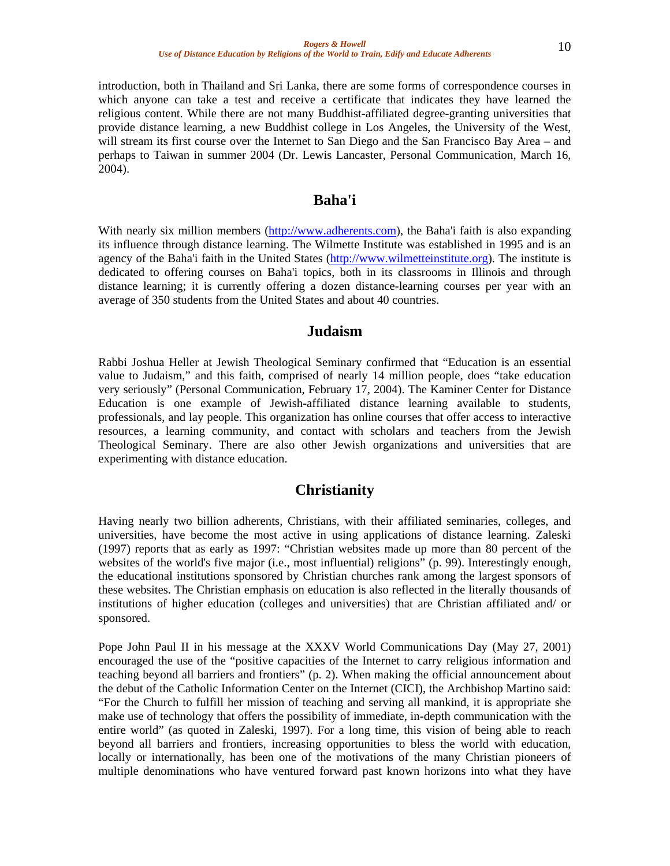introduction, both in Thailand and Sri Lanka, there are some forms of correspondence courses in which anyone can take a test and receive a certificate that indicates they have learned the religious content. While there are not many Buddhist-affiliated degree-granting universities that provide distance learning, a new Buddhist college in Los Angeles, the University of the West, will stream its first course over the Internet to San Diego and the San Francisco Bay Area – and perhaps to Taiwan in summer 2004 (Dr. Lewis Lancaster, Personal Communication, March 16, 2004).

### **Baha'i**

With nearly six million members ([http://www.adherents.com](http://www.adherents.com/)), the Baha'i faith is also expanding its influence through distance learning. The Wilmette Institute was established in 1995 and is an agency of the Baha'i faith in the United States ([http://www.wilmetteinstitute.org](http://www.wilmetteinstitute.org/)). The institute is dedicated to offering courses on Baha'i topics, both in its classrooms in Illinois and through distance learning; it is currently offering a dozen distance-learning courses per year with an average of 350 students from the United States and about 40 countries.

#### **Judaism**

Rabbi Joshua Heller at Jewish Theological Seminary confirmed that "Education is an essential value to Judaism," and this faith, comprised of nearly 14 million people, does "take education very seriously" (Personal Communication, February 17, 2004). The Kaminer Center for Distance Education is one example of Jewish-affiliated distance learning available to students, professionals, and lay people. This organization has online courses that offer access to interactive resources, a learning community, and contact with scholars and teachers from the Jewish Theological Seminary. There are also other Jewish organizations and universities that are experimenting with distance education.

## **Christianity**

Having nearly two billion adherents, Christians, with their affiliated seminaries, colleges, and universities, have become the most active in using applications of distance learning. Zaleski (1997) reports that as early as 1997: "Christian websites made up more than 80 percent of the websites of the world's five major (i.e., most influential) religions" (p. 99). Interestingly enough, the educational institutions sponsored by Christian churches rank among the largest sponsors of these websites. The Christian emphasis on education is also reflected in the literally thousands of institutions of higher education (colleges and universities) that are Christian affiliated and/ or sponsored.

Pope John Paul II in his message at the XXXV World Communications Day (May 27, 2001) encouraged the use of the "positive capacities of the Internet to carry religious information and teaching beyond all barriers and frontiers" (p. 2). When making the official announcement about the debut of the Catholic Information Center on the Internet (CICI), the Archbishop Martino said: "For the Church to fulfill her mission of teaching and serving all mankind, it is appropriate she make use of technology that offers the possibility of immediate, in-depth communication with the entire world" (as quoted in Zaleski, 1997). For a long time, this vision of being able to reach beyond all barriers and frontiers, increasing opportunities to bless the world with education, locally or internationally, has been one of the motivations of the many Christian pioneers of multiple denominations who have ventured forward past known horizons into what they have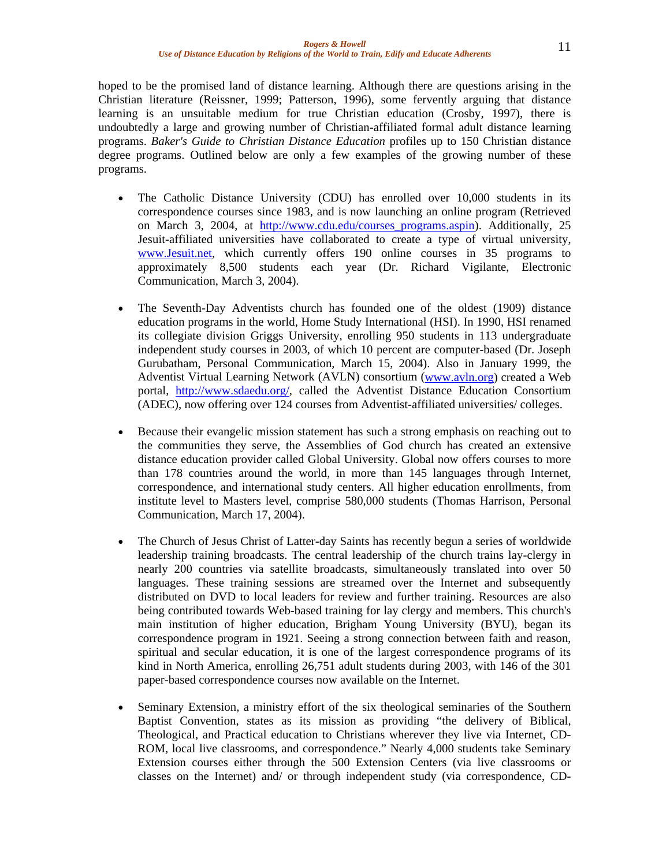hoped to be the promised land of distance learning. Although there are questions arising in the Christian literature (Reissner, 1999; Patterson, 1996), some fervently arguing that distance learning is an unsuitable medium for true Christian education (Crosby, 1997), there is undoubtedly a large and growing number of Christian-affiliated formal adult distance learning programs. *Baker's Guide to Christian Distance Education* profiles up to 150 Christian distance degree programs. Outlined below are only a few examples of the growing number of these programs.

- The Catholic Distance University (CDU) has enrolled over 10,000 students in its correspondence courses since 1983, and is now launching an online program (Retrieved on March 3, 2004, at [http://www.cdu.edu/courses\\_programs.aspin\)](http://www.cdu.edu/courses_programs.aspin). Additionally, 25 Jesuit-affiliated universities have collaborated to create a type of virtual university, [www.Jesuit.net,](http://www.irrodl.org/index.php/irrodl/article/viewArticle/v5.3/www.jesuit.net) which currently offers 190 online courses in 35 programs to approximately 8,500 students each year (Dr. Richard Vigilante, Electronic Communication, March 3, 2004).
- The Seventh-Day Adventists church has founded one of the oldest (1909) distance education programs in the world, Home Study International (HSI). In 1990, HSI renamed its collegiate division Griggs University, enrolling 950 students in 113 undergraduate independent study courses in 2003, of which 10 percent are computer-based (Dr. Joseph Gurubatham, Personal Communication, March 15, 2004). Also in January 1999, the Adventist Virtual Learning Network (AVLN) consortium [\(www.avln.org](http://www.irrodl.org/index.php/irrodl/article/viewArticle/v5.3/www.avln.org)) created a Web portal, [http://www.sdaedu.org/,](http://www.sdaedu.org/) called the Adventist Distance Education Consortium (ADEC), now offering over 124 courses from Adventist-affiliated universities/ colleges.
- Because their evangelic mission statement has such a strong emphasis on reaching out to the communities they serve, the Assemblies of God church has created an extensive distance education provider called Global University. Global now offers courses to more than 178 countries around the world, in more than 145 languages through Internet, correspondence, and international study centers. All higher education enrollments, from institute level to Masters level, comprise 580,000 students (Thomas Harrison, Personal Communication, March 17, 2004).
- The Church of Jesus Christ of Latter-day Saints has recently begun a series of worldwide leadership training broadcasts. The central leadership of the church trains lay-clergy in nearly 200 countries via satellite broadcasts, simultaneously translated into over 50 languages. These training sessions are streamed over the Internet and subsequently distributed on DVD to local leaders for review and further training. Resources are also being contributed towards Web-based training for lay clergy and members. This church's main institution of higher education, Brigham Young University (BYU), began its correspondence program in 1921. Seeing a strong connection between faith and reason, spiritual and secular education, it is one of the largest correspondence programs of its kind in North America, enrolling 26,751 adult students during 2003, with 146 of the 301 paper-based correspondence courses now available on the Internet.
- Seminary Extension, a ministry effort of the six theological seminaries of the Southern Baptist Convention, states as its mission as providing "the delivery of Biblical, Theological, and Practical education to Christians wherever they live via Internet, CD-ROM, local live classrooms, and correspondence." Nearly 4,000 students take Seminary Extension courses either through the 500 Extension Centers (via live classrooms or classes on the Internet) and/ or through independent study (via correspondence, CD-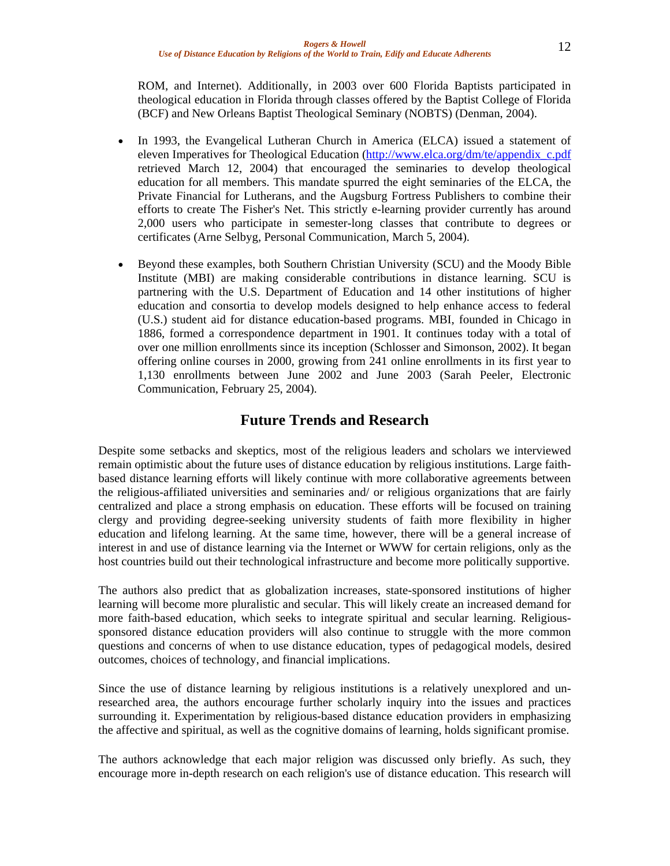ROM, and Internet). Additionally, in 2003 over 600 Florida Baptists participated in theological education in Florida through classes offered by the Baptist College of Florida (BCF) and New Orleans Baptist Theological Seminary (NOBTS) (Denman, 2004).

- In 1993, the Evangelical Lutheran Church in America (ELCA) issued a statement of eleven Imperatives for Theological Education ([http://www.elca.org/dm/te/appendix\\_c.pdf](http://www.elca.org/dm/te/appendix_c.pdf) retrieved March 12, 2004) that encouraged the seminaries to develop theological education for all members. This mandate spurred the eight seminaries of the ELCA, the Private Financial for Lutherans, and the Augsburg Fortress Publishers to combine their efforts to create The Fisher's Net. This strictly e-learning provider currently has around 2,000 users who participate in semester-long classes that contribute to degrees or certificates (Arne Selbyg, Personal Communication, March 5, 2004).
- Beyond these examples, both Southern Christian University (SCU) and the Moody Bible Institute (MBI) are making considerable contributions in distance learning. SCU is partnering with the U.S. Department of Education and 14 other institutions of higher education and consortia to develop models designed to help enhance access to federal (U.S.) student aid for distance education-based programs. MBI, founded in Chicago in 1886, formed a correspondence department in 1901. It continues today with a total of over one million enrollments since its inception (Schlosser and Simonson, 2002). It began offering online courses in 2000, growing from 241 online enrollments in its first year to 1,130 enrollments between June 2002 and June 2003 (Sarah Peeler, Electronic Communication, February 25, 2004).

# **Future Trends and Research**

Despite some setbacks and skeptics, most of the religious leaders and scholars we interviewed remain optimistic about the future uses of distance education by religious institutions. Large faithbased distance learning efforts will likely continue with more collaborative agreements between the religious-affiliated universities and seminaries and/ or religious organizations that are fairly centralized and place a strong emphasis on education. These efforts will be focused on training clergy and providing degree-seeking university students of faith more flexibility in higher education and lifelong learning. At the same time, however, there will be a general increase of interest in and use of distance learning via the Internet or WWW for certain religions, only as the host countries build out their technological infrastructure and become more politically supportive.

The authors also predict that as globalization increases, state-sponsored institutions of higher learning will become more pluralistic and secular. This will likely create an increased demand for more faith-based education, which seeks to integrate spiritual and secular learning. Religioussponsored distance education providers will also continue to struggle with the more common questions and concerns of when to use distance education, types of pedagogical models, desired outcomes, choices of technology, and financial implications.

Since the use of distance learning by religious institutions is a relatively unexplored and unresearched area, the authors encourage further scholarly inquiry into the issues and practices surrounding it. Experimentation by religious-based distance education providers in emphasizing the affective and spiritual, as well as the cognitive domains of learning, holds significant promise.

The authors acknowledge that each major religion was discussed only briefly. As such, they encourage more in-depth research on each religion's use of distance education. This research will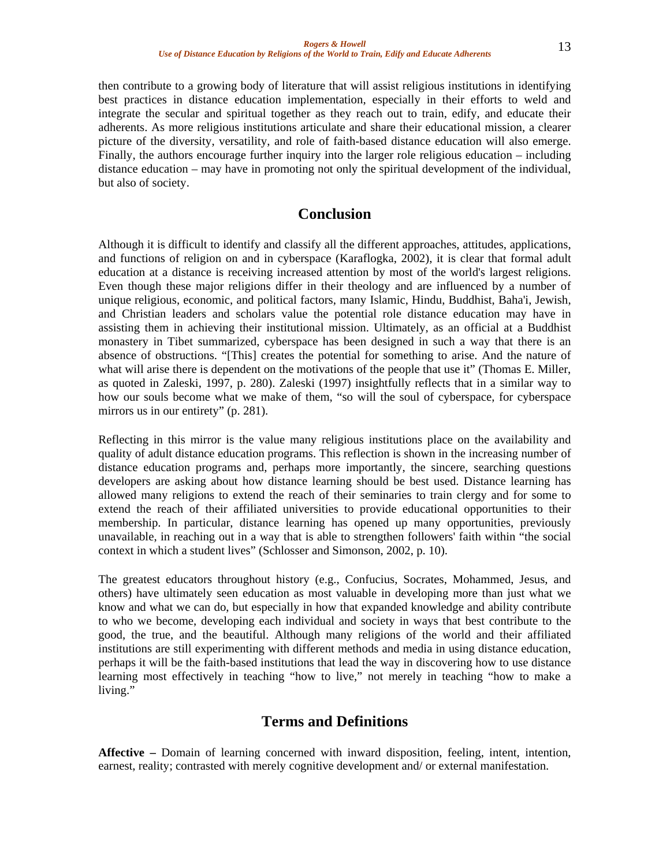then contribute to a growing body of literature that will assist religious institutions in identifying best practices in distance education implementation, especially in their efforts to weld and integrate the secular and spiritual together as they reach out to train, edify, and educate their adherents. As more religious institutions articulate and share their educational mission, a clearer picture of the diversity, versatility, and role of faith-based distance education will also emerge. Finally, the authors encourage further inquiry into the larger role religious education – including distance education – may have in promoting not only the spiritual development of the individual, but also of society.

### **Conclusion**

Although it is difficult to identify and classify all the different approaches, attitudes, applications, and functions of religion on and in cyberspace (Karaflogka, 2002), it is clear that formal adult education at a distance is receiving increased attention by most of the world's largest religions. Even though these major religions differ in their theology and are influenced by a number of unique religious, economic, and political factors, many Islamic, Hindu, Buddhist, Baha'i, Jewish, and Christian leaders and scholars value the potential role distance education may have in assisting them in achieving their institutional mission. Ultimately, as an official at a Buddhist monastery in Tibet summarized, cyberspace has been designed in such a way that there is an absence of obstructions. "[This] creates the potential for something to arise. And the nature of what will arise there is dependent on the motivations of the people that use it" (Thomas E. Miller, as quoted in Zaleski, 1997, p. 280). Zaleski (1997) insightfully reflects that in a similar way to how our souls become what we make of them, "so will the soul of cyberspace, for cyberspace mirrors us in our entirety" (p. 281).

Reflecting in this mirror is the value many religious institutions place on the availability and quality of adult distance education programs. This reflection is shown in the increasing number of distance education programs and, perhaps more importantly, the sincere, searching questions developers are asking about how distance learning should be best used. Distance learning has allowed many religions to extend the reach of their seminaries to train clergy and for some to extend the reach of their affiliated universities to provide educational opportunities to their membership. In particular, distance learning has opened up many opportunities, previously unavailable, in reaching out in a way that is able to strengthen followers' faith within "the social context in which a student lives" (Schlosser and Simonson, 2002, p. 10).

The greatest educators throughout history (e.g., Confucius, Socrates, Mohammed, Jesus, and others) have ultimately seen education as most valuable in developing more than just what we know and what we can do, but especially in how that expanded knowledge and ability contribute to who we become, developing each individual and society in ways that best contribute to the good, the true, and the beautiful. Although many religions of the world and their affiliated institutions are still experimenting with different methods and media in using distance education, perhaps it will be the faith-based institutions that lead the way in discovering how to use distance learning most effectively in teaching "how to live," not merely in teaching "how to make a living."

### **Terms and Definitions**

**Affective –** Domain of learning concerned with inward disposition, feeling, intent, intention, earnest, reality; contrasted with merely cognitive development and/ or external manifestation.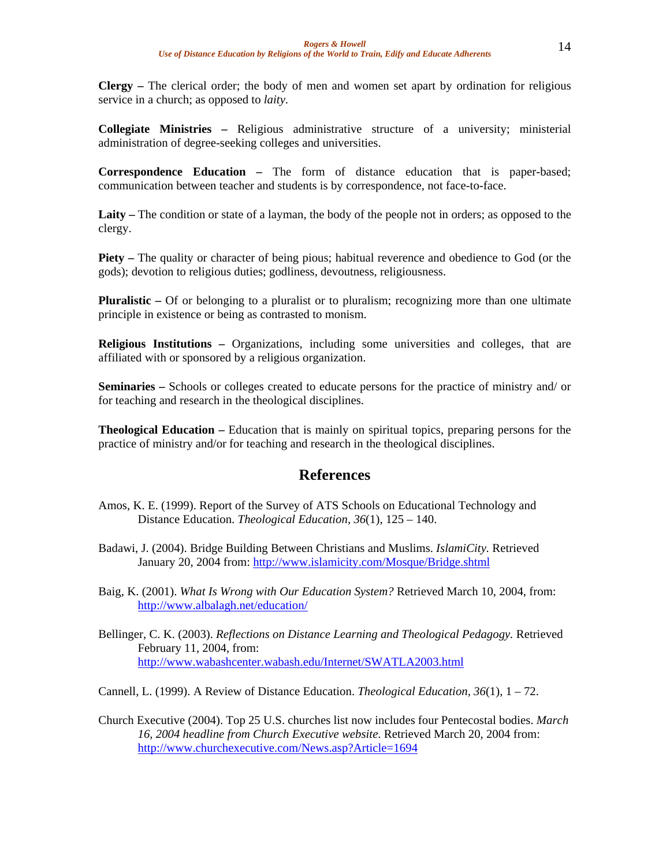**Clergy –** The clerical order; the body of men and women set apart by ordination for religious service in a church; as opposed to *laity*.

**Collegiate Ministries –** Religious administrative structure of a university; ministerial administration of degree-seeking colleges and universities.

**Correspondence Education –** The form of distance education that is paper-based; communication between teacher and students is by correspondence, not face-to-face.

**Laity –** The condition or state of a layman, the body of the people not in orders; as opposed to the clergy.

**Piety –** The quality or character of being pious; habitual reverence and obedience to God (or the gods); devotion to religious duties; godliness, devoutness, religiousness.

**Pluralistic** – Of or belonging to a pluralist or to pluralism; recognizing more than one ultimate principle in existence or being as contrasted to monism.

**Religious Institutions –** Organizations, including some universities and colleges, that are affiliated with or sponsored by a religious organization.

**Seminaries –** Schools or colleges created to educate persons for the practice of ministry and/ or for teaching and research in the theological disciplines.

**Theological Education –** Education that is mainly on spiritual topics, preparing persons for the practice of ministry and/or for teaching and research in the theological disciplines.

## **References**

- Amos, K. E. (1999). Report of the Survey of ATS Schools on Educational Technology and Distance Education. *Theological Education, 36*(1), 125 – 140.
- Badawi, J. (2004). Bridge Building Between Christians and Muslims. *IslamiCity.* Retrieved January 20, 2004 from:<http://www.islamicity.com/Mosque/Bridge.shtml>
- Baig, K. (2001). *What Is Wrong with Our Education System?* Retrieved March 10, 2004, from: <http://www.albalagh.net/education/>
- Bellinger, C. K. (2003). *Reflections on Distance Learning and Theological Pedagogy.* Retrieved February 11, 2004, from: <http://www.wabashcenter.wabash.edu/Internet/SWATLA2003.html>

Cannell, L. (1999). A Review of Distance Education. *Theological Education, 36*(1), 1 – 72.

Church Executive (2004). Top 25 U.S. churches list now includes four Pentecostal bodies. *March 16, 2004 headline from Church Executive website*. Retrieved March 20, 2004 from: <http://www.churchexecutive.com/News.asp?Article=1694>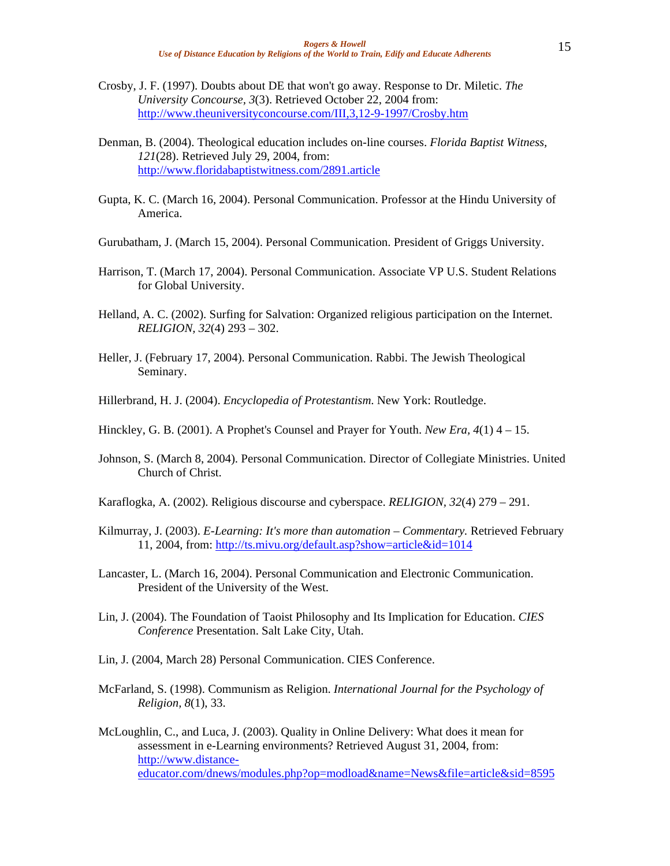- Crosby, J. F. (1997). Doubts about DE that won't go away. Response to Dr. Miletic. *The University Concourse, 3*(3). Retrieved October 22, 2004 from: <http://www.theuniversityconcourse.com/III,3,12-9-1997/Crosby.htm>
- Denman, B. (2004). Theological education includes on-line courses. *Florida Baptist Witness, 121*(28). Retrieved July 29, 2004, from: <http://www.floridabaptistwitness.com/2891.article>
- Gupta, K. C. (March 16, 2004). Personal Communication. Professor at the Hindu University of America.
- Gurubatham, J. (March 15, 2004). Personal Communication. President of Griggs University.
- Harrison, T. (March 17, 2004). Personal Communication. Associate VP U.S. Student Relations for Global University.
- Helland, A. C. (2002). Surfing for Salvation: Organized religious participation on the Internet. *RELIGION, 32*(4) 293 – 302.
- Heller, J. (February 17, 2004). Personal Communication. Rabbi. The Jewish Theological Seminary.
- Hillerbrand, H. J. (2004). *Encyclopedia of Protestantism*. New York: Routledge.
- Hinckley, G. B. (2001). A Prophet's Counsel and Prayer for Youth. *New Era, 4*(1) 4 15.
- Johnson, S. (March 8, 2004). Personal Communication. Director of Collegiate Ministries. United Church of Christ.
- Karaflogka, A. (2002). Religious discourse and cyberspace. *RELIGION, 32*(4) 279 291.
- Kilmurray, J. (2003). *E-Learning: It's more than automation Commentary.* Retrieved February 11, 2004, from:<http://ts.mivu.org/default.asp?show=article&id=1014>
- Lancaster, L. (March 16, 2004). Personal Communication and Electronic Communication. President of the University of the West.
- Lin, J. (2004). The Foundation of Taoist Philosophy and Its Implication for Education. *CIES Conference* Presentation. Salt Lake City, Utah.
- Lin, J. (2004, March 28) Personal Communication. CIES Conference.
- McFarland, S. (1998). Communism as Religion. *International Journal for the Psychology of Religion, 8*(1), 33.
- McLoughlin, C., and Luca, J. (2003). Quality in Online Delivery: What does it mean for assessment in e-Learning environments? Retrieved August 31, 2004, from: [http://www.distance](http://www.distance-educator.com/dnews/modules.php?op=modload&name=News&file=article&sid=8595)[educator.com/dnews/modules.php?op=modload&name=News&file=article&sid=8595](http://www.distance-educator.com/dnews/modules.php?op=modload&name=News&file=article&sid=8595)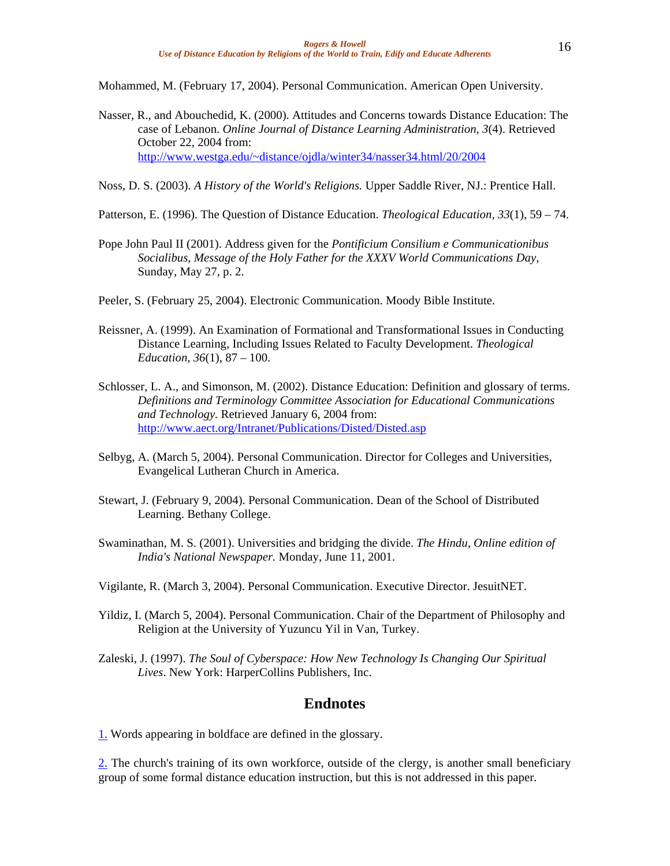Mohammed, M. (February 17, 2004). Personal Communication. American Open University.

Nasser, R., and Abouchedid, K. (2000). Attitudes and Concerns towards Distance Education: The case of Lebanon. *Online Journal of Distance Learning Administration, 3*(4). Retrieved October 22, 2004 from: [http://www.westga.edu/~distance/ojdla/winter34/nasser34.html/20/2004](http://www.westga.edu/%7Edistance/ojdla/winter34/nasser34.html/20/2004)

Noss, D. S. (2003). *A History of the World's Religions.* Upper Saddle River, NJ.: Prentice Hall.

Patterson, E. (1996). The Question of Distance Education. *Theological Education, 33*(1), 59 – 74.

- Pope John Paul II (2001). Address given for the *Pontificium Consilium e Communicationibus Socialibus, Message of the Holy Father for the XXXV World Communications Day*, Sunday, May 27, p. 2.
- Peeler, S. (February 25, 2004). Electronic Communication. Moody Bible Institute.
- Reissner, A. (1999). An Examination of Formational and Transformational Issues in Conducting Distance Learning, Including Issues Related to Faculty Development. *Theological Education, 36*(1), 87 – 100.
- Schlosser, L. A., and Simonson, M. (2002). Distance Education: Definition and glossary of terms. *Definitions and Terminology Committee Association for Educational Communications and Technology.* Retrieved January 6, 2004 from: <http://www.aect.org/Intranet/Publications/Disted/Disted.asp>
- Selbyg, A. (March 5, 2004). Personal Communication. Director for Colleges and Universities, Evangelical Lutheran Church in America.
- Stewart, J. (February 9, 2004). Personal Communication. Dean of the School of Distributed Learning. Bethany College.
- Swaminathan, M. S. (2001). Universities and bridging the divide. *The Hindu, Online edition of India's National Newspaper.* Monday, June 11, 2001.
- Vigilante, R. (March 3, 2004). Personal Communication. Executive Director. JesuitNET.
- Yildiz, I. (March 5, 2004). Personal Communication. Chair of the Department of Philosophy and Religion at the University of Yuzuncu Yil in Van, Turkey.
- Zaleski, J. (1997). *The Soul of Cyberspace: How New Technology Is Changing Our Spiritual Lives*. New York: HarperCollins Publishers, Inc.

#### **Endnotes**

[1.](http://www.irrodl.org/index.php/irrodl/article/viewArticle/207/290#1b) Words appearing in boldface are defined in the glossary.

[2.](http://www.irrodl.org/index.php/irrodl/article/viewArticle/207/290#2b) The church's training of its own workforce, outside of the clergy, is another small beneficiary group of some formal distance education instruction, but this is not addressed in this paper.